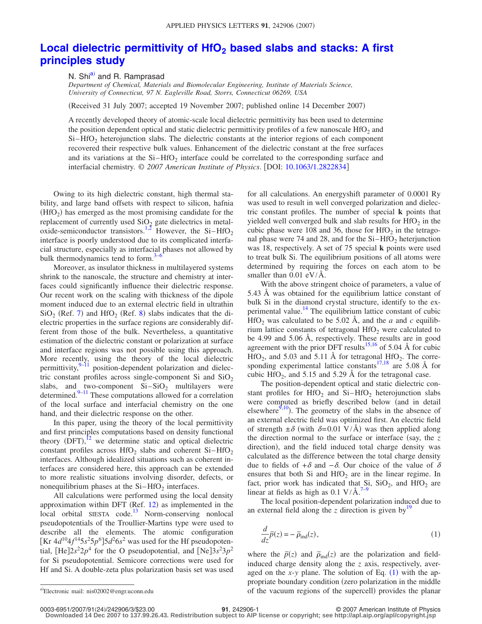## Local dielectric permittivity of HfO<sub>2</sub> based slabs and stacks: A first **[principles study](http://dx.doi.org/10.1063/1.2822834)**

N. Shi<sup>a)</sup> and R. Ramprasad

*Department of Chemical, Materials and Biomolecular Engineering, Institute of Materials Science, University of Connecticut, 97 N. Eagleville Road, Storrs, Connecticut 06269, USA*

Received 31 July 2007; accepted 19 November 2007; published online 14 December 2007-

A recently developed theory of atomic-scale local dielectric permittivity has been used to determine the position dependent optical and static dielectric permittivity profiles of a few nanoscale HfO<sub>2</sub> and  $Si-HfO<sub>2</sub>$  heterojunction slabs. The dielectric constants at the interior regions of each component recovered their respective bulk values. Enhancement of the dielectric constant at the free surfaces and its variations at the  $Si-HfO<sub>2</sub>$  interface could be correlated to the corresponding surface and interfacial chemistry. © *2007 American Institute of Physics*. DOI: [10.1063/1.2822834](http://dx.doi.org/10.1063/1.2822834)

Owing to its high dielectric constant, high thermal stability, and large band offsets with respect to silicon, hafnia  $(HfO<sub>2</sub>)$  has emerged as the most promising candidate for the replacement of currently used  $SiO<sub>2</sub>$  gate dielectrics in metal-oxide-semiconductor transistors.<sup>1[,2](#page-2-1)</sup> However, the Si-HfO<sub>2</sub> interface is poorly understood due to its complicated interfacial structure, especially as interfacial phases not allowed by bulk thermodynamics tend to form. $3-6$  $3-6$ 

Moreover, as insulator thickness in multilayered systems shrink to the nanoscale, the structure and chemistry at interfaces could significantly influence their dielectric response. Our recent work on the scaling with thickness of the dipole moment induced due to an external electric field in ultrathin  $SiO<sub>2</sub>$  (Ref. [7](#page-2-4)) and HfO<sub>2</sub> (Ref. [8](#page-2-5)) slabs indicates that the dielectric properties in the surface regions are considerably different from those of the bulk. Nevertheless, a quantitative estimation of the dielectric constant or polarization at surface and interface regions was not possible using this approach. More recently, using the theory of the local dielectric permittivity, $9-11$  $9-11$  position-dependent polarization and dielectric constant profiles across single-component Si and  $SiO<sub>2</sub>$ slabs, and two-component  $Si-SiO<sub>2</sub>$  multilayers were determined.<sup>9[–11](#page-2-7)</sup> These computations allowed for a correlation of the local surface and interfacial chemistry on the one hand, and their dielectric response on the other.

In this paper, using the theory of the local permittivity and first principles computations based on density functional theory  $(DFT)$ ,<sup>[12](#page-2-8)</sup> we determine static and optical dielectric constant profiles across  $HfO<sub>2</sub>$  slabs and coherent Si-HfO<sub>2</sub> interfaces. Although idealized situations such as coherent interfaces are considered here, this approach can be extended to more realistic situations involving disorder, defects, or nonequilibrium phases at the  $Si-HfO<sub>2</sub>$  interfaces.

All calculations were performed using the local density approximation within DFT (Ref.  $12$ ) as implemented in the local orbital SIESTA code.<sup>13</sup> Norm-conserving nonlocal pseudopotentials of the Troullier-Martins type were used to describe all the elements. The atomic configuration [Kr  $4d^{10}4f^{14}5s^25p^6$ ]5 $d^26s^2$  was used for the Hf pseudopotential,  $[He]2s^22p^4$  for the O pseudopotential, and  $[Ne]3s^23p^2$ for Si pseudopotential. Semicore corrections were used for Hf and Si. A double-zeta plus polarization basis set was used for all calculations. An energyshift parameter of 0.0001 Ry was used to result in well converged polarization and dielectric constant profiles. The number of special **k** points that yielded well converged bulk and slab results for  $HfO<sub>2</sub>$  in the cubic phase were 108 and 36, those for  $HfO<sub>2</sub>$  in the tetragonal phase were 74 and 28, and for the  $Si-HfO<sub>2</sub>$  heterjunction was 18, respectively. A set of 75 special **k** points were used to treat bulk Si. The equilibrium positions of all atoms were determined by requiring the forces on each atom to be smaller than  $0.01 \text{ eV/A}.$ 

With the above stringent choice of parameters, a value of 5.43 Å was obtained for the equilibrium lattice constant of bulk Si in the diamond crystal structure, identify to the experimental value.<sup>14</sup> The equilibrium lattice constant of cubic HfO<sub>2</sub> was calculated to be 5.02 Å, and the *a* and *c* equilibrium lattice constants of tetragonal  $HfO<sub>2</sub>$  were calculated to be 4.99 and 5.06 Å, respectively. These results are in good agreement with the prior DFT results<sup>15[,16](#page-2-12)</sup> of 5.04 Å for cubic  $HfO<sub>2</sub>$ , and 5.03 and 5.11 Å for tetragonal  $HfO<sub>2</sub>$ . The corre-sponding experimental lattice constants<sup>17,[18](#page-2-14)</sup> are 5.08 Å for cubic HfO<sub>2</sub>, and 5.15 and 5.29 Å for the tetragonal case.

The position-dependent optical and static dielectric constant profiles for  $HfO<sub>2</sub>$  and  $Si-HfO<sub>2</sub>$  heterojunction slabs were computed as briefly described below (and in detail elsewhere<sup> $9,10$  $9,10$ </sup>). The geometry of the slabs in the absence of an external electric field was optimized first. An electric field of strength  $\pm \delta$  (with  $\delta = 0.01 \text{ V/A}$ ) was then applied along the direction normal to the surface or interface (say, the  $z$ direction), and the field induced total charge density was calculated as the difference between the total charge density due to fields of + $\delta$  and − $\delta$ . Our choice of the value of  $\delta$ ensures that both Si and  $HfO<sub>2</sub>$  are in the linear regime. In fact, prior work has indicated that  $Si$ ,  $SiO<sub>2</sub>$ , and  $HfO<sub>2</sub>$  are linear at fields as high as  $0.1 \text{ V/A}$ .<sup>[7](#page-2-4)[–9](#page-2-6)</sup>

<span id="page-0-1"></span>The local position-dependent polarization induced due to an external field along the  $z$  direction is given by<sup>19</sup>

$$
\frac{d}{dz}\overline{p}(z) = -\overline{\rho}_{\text{ind}}(z),\tag{1}
$$

<span id="page-0-0"></span>where the  $\bar{p}(z)$  and  $\bar{p}_{ind}(z)$  are the polarization and fieldinduced charge density along the *z* axis, respectively, averaged on the  $x$ -*y* plane. The solution of Eq.  $(1)$  $(1)$  $(1)$  with the appropriate boundary condition (zero polarization in the middle a)Electronic mail: nis02002@engr.uconn.edu of the vacuum regions of the supercell) provides the planar

0003-6951/2007/91(24)/242906/3/\$23.00

Electronic mail: nis02002@engr.uconn.edu

**<sup>21</sup>**, 242906-1 © 2007 American Institute of Physics

**Downloaded 14 Dec 2007 to 137.99.26.43. Redistribution subject to AIP license or copyright; see http://apl.aip.org/apl/copyright.jsp**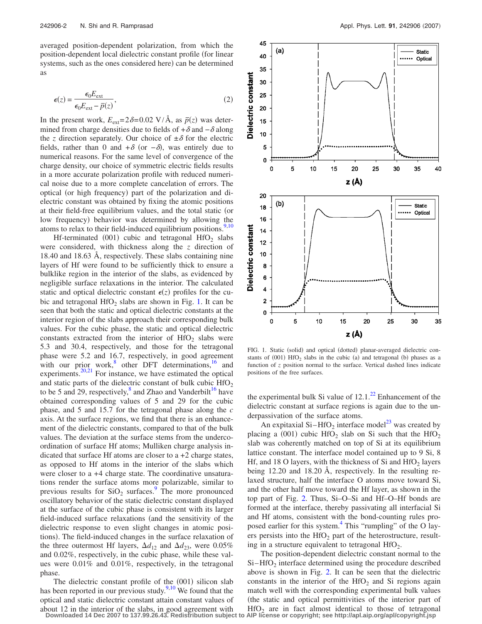averaged position-dependent polarization, from which the position-dependent local dielectric constant profile for linear systems, such as the ones considered here) can be determined as

$$
\epsilon(z) = \frac{\epsilon_0 E_{\text{ext}}}{\epsilon_0 E_{\text{ext}} - \bar{p}(z)},
$$
\n(2)

In the present work,  $E_{ext} = 2\delta = 0.02 \text{ V}/\text{Å}$ , as  $\bar{p}(z)$  was determined from charge densities due to fields of  $+\delta$  and  $-\delta$  along the *z* direction separately. Our choice of  $\pm \delta$  for the electric fields, rather than 0 and  $+\delta$  (or  $-\delta$ ), was entirely due to numerical reasons. For the same level of convergence of the charge density, our choice of symmetric electric fields results in a more accurate polarization profile with reduced numerical noise due to a more complete cancelation of errors. The optical (or high frequency) part of the polarization and dielectric constant was obtained by fixing the atomic positions at their field-free equilibrium values, and the total static (or low frequency) behavior was determined by allowing the atoms to relax to their field-induced equilibrium positions. $9,10$  $9,10$ 

Hf-terminated  $(001)$  cubic and tetragonal HfO<sub>2</sub> slabs were considered, with thickness along the *z* direction of 18.40 and 18.63 Å, respectively. These slabs containing nine layers of Hf were found to be sufficiently thick to ensure a bulklike region in the interior of the slabs, as evidenced by negligible surface relaxations in the interior. The calculated static and optical dielectric constant  $\epsilon(z)$  profiles for the cubic and tetragonal  $HfO<sub>2</sub>$  slabs are shown in Fig. [1.](#page-1-0) It can be seen that both the static and optical dielectric constants at the interior region of the slabs approach their corresponding bulk values. For the cubic phase, the static and optical dielectric constants extracted from the interior of  $HfO<sub>2</sub>$  slabs were 5.3 and 30.4, respectively, and those for the tetragonal phase were 5.2 and 16.7, respectively, in good agreement with our prior work, $8$  other DFT determinations, $16$  and experiments.<sup>20[,21](#page-2-18)</sup> For instance, we have estimated the optical and static parts of the dielectric constant of bulk cubic  $HfO<sub>2</sub>$ to be 5 and 29, respectively, $\frac{8}{3}$  and Zhao and Vanderbilt<sup>16</sup> have obtained corresponding values of 5 and 29 for the cubic phase, and 5 and 15.7 for the tetragonal phase along the *c* axis. At the surface regions, we find that there is an enhancement of the dielectric constants, compared to that of the bulk values. The deviation at the surface stems from the undercoordination of surface Hf atoms; Mulliken charge analysis indicated that surface Hf atoms are closer to a +2 charge states, as opposed to Hf atoms in the interior of the slabs which were closer to a +4 charge state. The coordinative unsaturations render the surface atoms more polarizable, similar to previous results for  $SiO<sub>2</sub>$  surfaces.<sup>9</sup> The more pronounced oscillatory behavior of the static dielectric constant displayed at the surface of the cubic phase is consistent with its larger field-induced surface relaxations (and the sensitivity of the dielectric response to even slight changes in atomic positions). The field-induced changes in the surface relaxation of the three outermost Hf layers,  $\Delta d_{12}$  and  $\Delta d_{23}$ , were 0.05% and 0.02%, respectively, in the cubic phase, while these values were 0.01% and 0.01%, respectively, in the tetragonal phase.

The dielectric constant profile of the (001) silicon slab has been reported in our previous study.<sup>9[,10](#page-2-15)</sup> We found that the optical and static dielectric constant attain constant values of about 12 in the interior of the slabs, in good agreement with **Downloaded 14 Dec 2007 to 137.99.26.43. Redistribution subject to AIP license or copyright; see http://apl.aip.org/apl/copyright.jsp**

<span id="page-1-0"></span>

FIG. 1. Static (solid) and optical (dotted) planar-averaged dielectric constants of  $(001)$  HfO<sub>2</sub> slabs in the cubic (a) and tetragonal (b) phases as a function of *z* position normal to the surface. Vertical dashed lines indicate positions of the free surfaces.

the experimental bulk Si value of  $12.1<sup>22</sup>$  Enhancement of the dielectric constant at surface regions is again due to the underpassivation of the surface atoms.

An expitaxial Si–HfO<sub>2</sub> interface model<sup>23</sup> was created by placing a (001) cubic  $HfO_2$  slab on Si such that the  $HfO_2$ slab was coherently matched on top of Si at its equilibrium lattice constant. The interface model contained up to 9 Si, 8 Hf, and 18 O layers, with the thickness of Si and  $HfO<sub>2</sub>$  layers being 12.20 and 18.20 Å, respectively. In the resulting relaxed structure, half the interface O atoms move toward Si, and the other half move toward the Hf layer, as shown in the top part of Fig. [2.](#page-2-21) Thus, Si–O–Si and Hf–O–Hf bonds are formed at the interface, thereby passivating all interfacial Si and Hf atoms, consistent with the bond-counting rules proposed earlier for this system.<sup>4</sup> This "rumpling" of the O layers persists into the  $HfO<sub>2</sub>$  part of the heterostructure, resulting in a structure equivalent to tetragonal  $HfO<sub>2</sub>$ .

The position-dependent dielectric constant normal to the  $Si-HfO<sub>2</sub>$  interface determined using the procedure described above is shown in Fig. [2.](#page-2-21) It can be seen that the dielectric constants in the interior of the  $HfO<sub>2</sub>$  and Si regions again match well with the corresponding experimental bulk values the static and optical permittivities of the interior part of  $HfO<sub>2</sub>$  are in fact almost identical to those of tetragonal